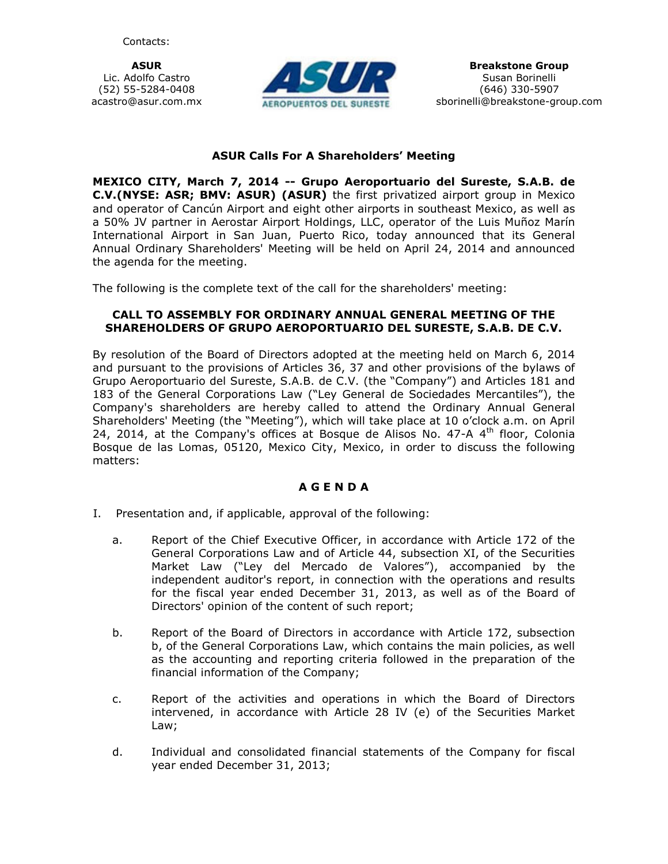ASUR Lic. Adolfo Castro (52) 55-5284-0408 acastro@asur.com.mx



## ASUR Calls For A Shareholders' Meeting

MEXICO CITY, March 7, 2014 -- Grupo Aeroportuario del Sureste, S.A.B. de C.V.(NYSE: ASR; BMV: ASUR) (ASUR) the first privatized airport group in Mexico and operator of Cancún Airport and eight other airports in southeast Mexico, as well as a 50% JV partner in Aerostar Airport Holdings, LLC, operator of the Luis Muñoz Marín International Airport in San Juan, Puerto Rico, today announced that its General Annual Ordinary Shareholders' Meeting will be held on April 24, 2014 and announced the agenda for the meeting.

The following is the complete text of the call for the shareholders' meeting:

## CALL TO ASSEMBLY FOR ORDINARY ANNUAL GENERAL MEETING OF THE SHAREHOLDERS OF GRUPO AEROPORTUARIO DEL SURESTE, S.A.B. DE C.V.

By resolution of the Board of Directors adopted at the meeting held on March 6, 2014 and pursuant to the provisions of Articles 36, 37 and other provisions of the bylaws of Grupo Aeroportuario del Sureste, S.A.B. de C.V. (the "Company") and Articles 181 and 183 of the General Corporations Law ("Ley General de Sociedades Mercantiles"), the Company's shareholders are hereby called to attend the Ordinary Annual General Shareholders' Meeting (the "Meeting"), which will take place at 10 o'clock a.m. on April 24, 2014, at the Company's offices at Bosque de Alisos No. 47-A  $4<sup>th</sup>$  floor, Colonia Bosque de las Lomas, 05120, Mexico City, Mexico, in order to discuss the following matters:

## A G E N D A

- I. Presentation and, if applicable, approval of the following:
	- a. Report of the Chief Executive Officer, in accordance with Article 172 of the General Corporations Law and of Article 44, subsection XI, of the Securities Market Law ("Ley del Mercado de Valores"), accompanied by the independent auditor's report, in connection with the operations and results for the fiscal year ended December 31, 2013, as well as of the Board of Directors' opinion of the content of such report;
	- b. Report of the Board of Directors in accordance with Article 172, subsection b, of the General Corporations Law, which contains the main policies, as well as the accounting and reporting criteria followed in the preparation of the financial information of the Company;
	- c. Report of the activities and operations in which the Board of Directors intervened, in accordance with Article 28 IV (e) of the Securities Market Law;
	- d. Individual and consolidated financial statements of the Company for fiscal year ended December 31, 2013;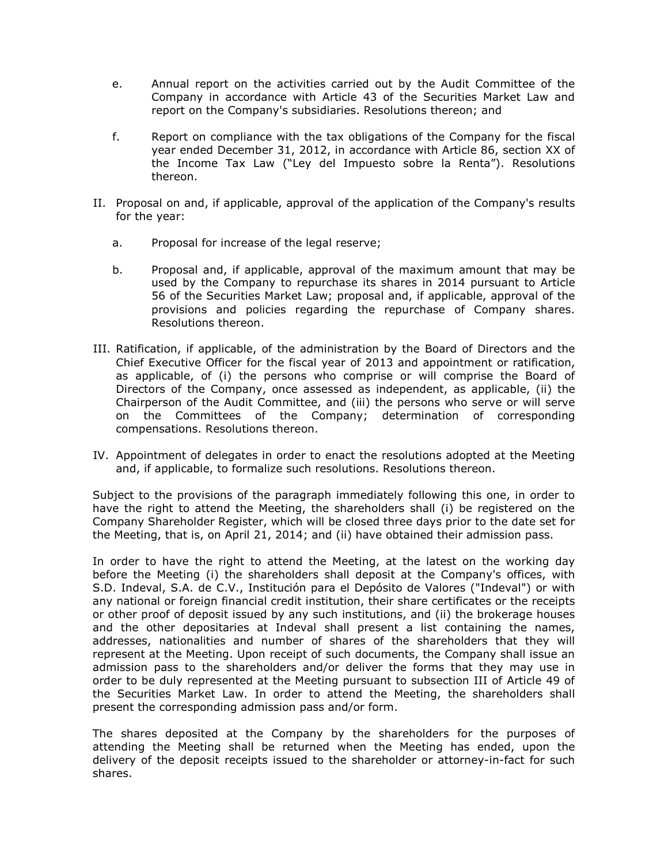- e. Annual report on the activities carried out by the Audit Committee of the Company in accordance with Article 43 of the Securities Market Law and report on the Company's subsidiaries. Resolutions thereon; and
- f. Report on compliance with the tax obligations of the Company for the fiscal year ended December 31, 2012, in accordance with Article 86, section XX of the Income Tax Law ("Ley del Impuesto sobre la Renta"). Resolutions thereon.
- II. Proposal on and, if applicable, approval of the application of the Company's results for the year:
	- a. Proposal for increase of the legal reserve;
	- b. Proposal and, if applicable, approval of the maximum amount that may be used by the Company to repurchase its shares in 2014 pursuant to Article 56 of the Securities Market Law; proposal and, if applicable, approval of the provisions and policies regarding the repurchase of Company shares. Resolutions thereon.
- III. Ratification, if applicable, of the administration by the Board of Directors and the Chief Executive Officer for the fiscal year of 2013 and appointment or ratification, as applicable, of (i) the persons who comprise or will comprise the Board of Directors of the Company, once assessed as independent, as applicable, (ii) the Chairperson of the Audit Committee, and (iii) the persons who serve or will serve on the Committees of the Company; determination of corresponding compensations. Resolutions thereon.
- IV. Appointment of delegates in order to enact the resolutions adopted at the Meeting and, if applicable, to formalize such resolutions. Resolutions thereon.

Subject to the provisions of the paragraph immediately following this one, in order to have the right to attend the Meeting, the shareholders shall (i) be registered on the Company Shareholder Register, which will be closed three days prior to the date set for the Meeting, that is, on April 21, 2014; and (ii) have obtained their admission pass.

In order to have the right to attend the Meeting, at the latest on the working day before the Meeting (i) the shareholders shall deposit at the Company's offices, with S.D. Indeval, S.A. de C.V., Institución para el Depósito de Valores ("Indeval") or with any national or foreign financial credit institution, their share certificates or the receipts or other proof of deposit issued by any such institutions, and (ii) the brokerage houses and the other depositaries at Indeval shall present a list containing the names, addresses, nationalities and number of shares of the shareholders that they will represent at the Meeting. Upon receipt of such documents, the Company shall issue an admission pass to the shareholders and/or deliver the forms that they may use in order to be duly represented at the Meeting pursuant to subsection III of Article 49 of the Securities Market Law. In order to attend the Meeting, the shareholders shall present the corresponding admission pass and/or form.

The shares deposited at the Company by the shareholders for the purposes of attending the Meeting shall be returned when the Meeting has ended, upon the delivery of the deposit receipts issued to the shareholder or attorney-in-fact for such shares.